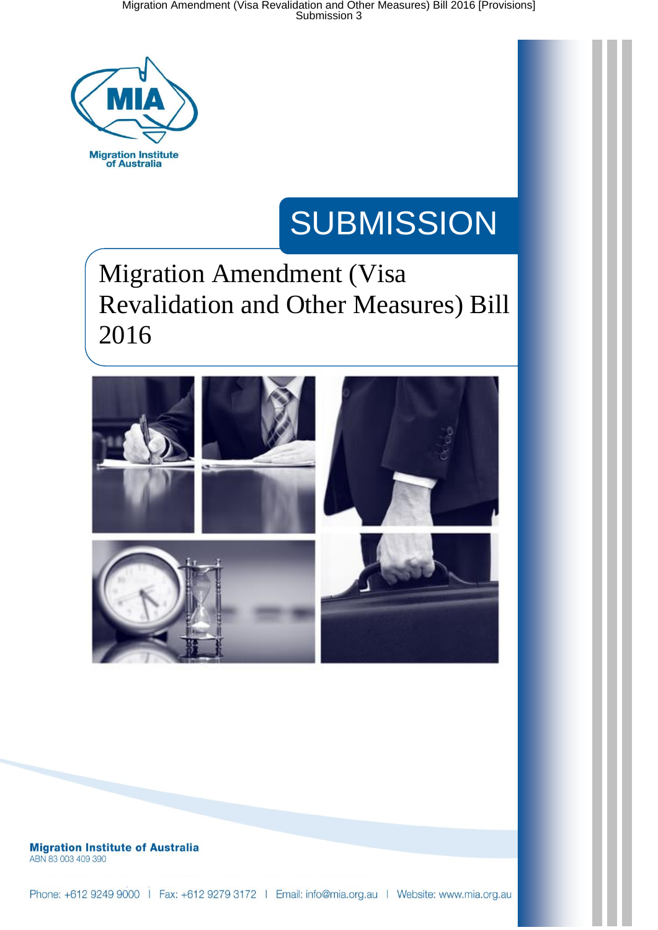

## **SUBMISSION**

## Migration Amendment (Visa Revalidation and Other Measures) Bill 2016



**Migration Institute of Australia** ABN 83 003 409 390

Phone: +612 9249 9000 | Fax: +612 9279 3172 | Email: info@mia.org.au | Website: www.mia.org.au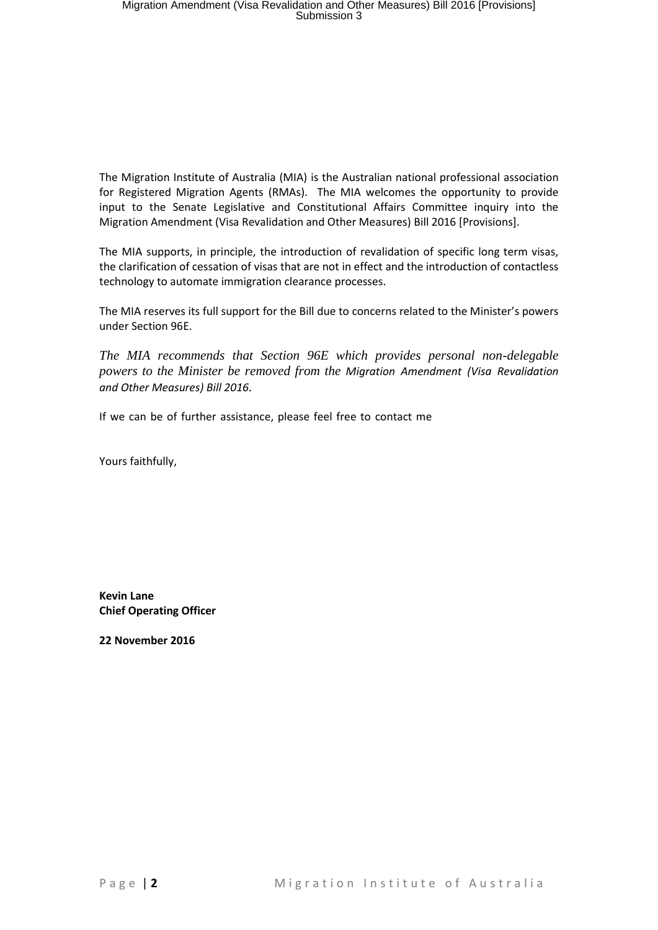The Migration Institute of Australia (MIA) is the Australian national professional association for Registered Migration Agents (RMAs). The MIA welcomes the opportunity to provide input to the Senate Legislative and Constitutional Affairs Committee inquiry into the Migration Amendment (Visa Revalidation and Other Measures) Bill 2016 [Provisions].

The MIA supports, in principle, the introduction of revalidation of specific long term visas, the clarification of cessation of visas that are not in effect and the introduction of contactless technology to automate immigration clearance processes.

The MIA reserves its full support for the Bill due to concerns related to the Minister's powers under Section 96E.

*The MIA recommends that Section 96E which provides personal non-delegable powers to the Minister be removed from the Migration Amendment (Visa Revalidation and Other Measures) Bill 2016.* 

If we can be of further assistance, please feel free to contact me

Yours faithfully,

**Kevin Lane Chief Operating Officer** 

**22 November 2016**